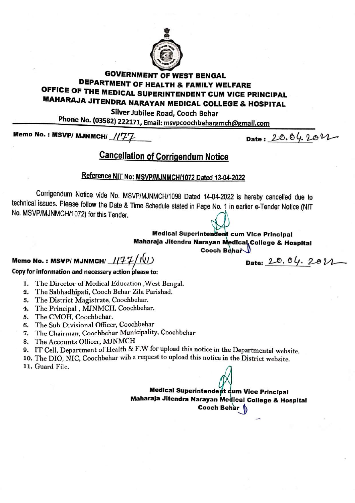

### **GOVERNMENT OF WEST BENGAL DEPARTMENT OF HEALTH & FAMILY WELFARE** OFFICE OF THE MEDICAL SUPERINTENDENT CUM VICE PRINCIPAL **MAHARAJA JITENDRA NARAYAN MEDICAL COLLEGE & HOSPITAL**

Silver Jubilee Road, Cooch Behar

Phone No. (03582) 222171, Email: msvpcoochbehargmch@gmail.com

Memo No.: MSVP/ MJNMCH/ //'77

Date: 20.04.2022

## **Cancellation of Corrigendum Notice**

## Reference NIT No: MSVP/MJNMCH/1072 Dated 13-04-2022

Corrigendum Notice vide No. MSVP/MJNMCH/1098 Dated 14-04-2022 is hereby cancelled due to technical issues. Please follow the Date & Time Schedule stated in Page No. 1 in earlier e-Tender Notice (NIT No. MSVP/MJNMCH/1072) for this Tender.

#### **Medical Superintendent cum Vice Principal** Maharaja Jitendra Narayan Medical College & Hospital Cooch Behar

Memo No.: MSVP/ MJNMCH/  $1/77/10$ 

Date:  $20.04.201$ 

#### Copy for information and necessary action please to:

- 1. The Director of Medical Education , West Bengal.
- 2. The Sabhadhipati, Cooch Behar Zila Parishad.
- 3. The District Magistrate, Coochbehar.
- 4. The Principal, MJNMCH, Coochbehar.
- 5. The CMOH, Coochbehar.
- 6. The Sub Divisional Officer, Coochbehar
- 7. The Chairman, Coochbehar Municipality, Coochbehar
- 8. The Accounts Officer, MJNMCH
- 9. IT Cell, Department of Health & F.W for upload this notice in the Departmental website.
- 10. The DIO, NIC, Coochbehar wih a request to upload this notice in the District website.
- 11. Guard File.

Medical Superintendent cum Vice Principal Maharaja Jitendra Narayan Medical College & Hospital Cooch Behar 1